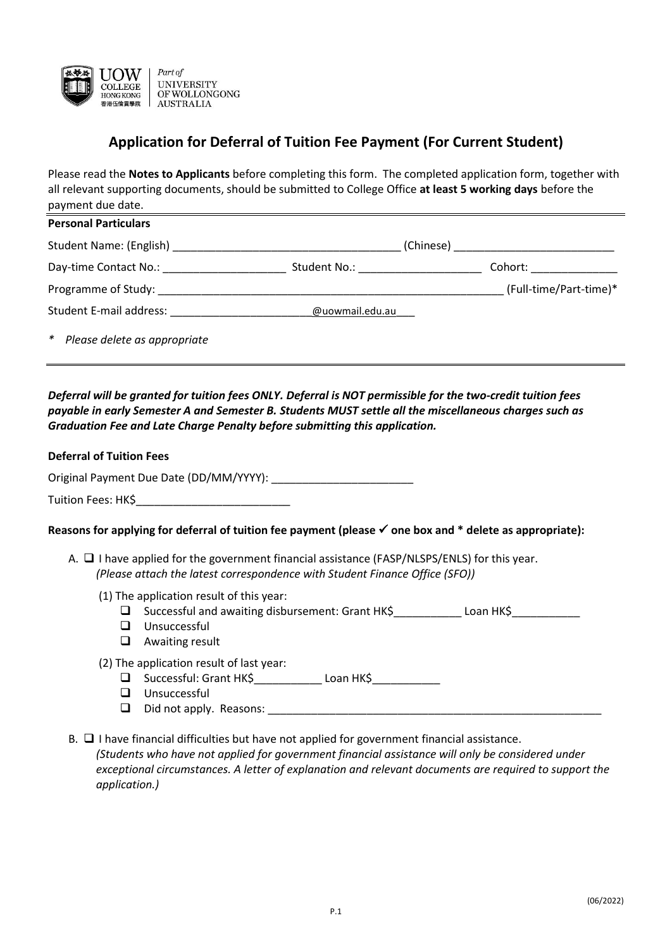

# **Application for Deferral of Tuition Fee Payment (For Current Student)**

Please read the **Notes to Applicants** before completing this form. The completed application form, together with all relevant supporting documents, should be submitted to College Office **at least 5 working days** before the payment due date.

| <b>Personal Particulars</b>                |                               |                        |  |
|--------------------------------------------|-------------------------------|------------------------|--|
| Student Name: (English)                    | (Chinese)                     |                        |  |
| Day-time Contact No.:                      | Student No.: The Student No.: | Cohort:                |  |
| Programme of Study:                        |                               | (Full-time/Part-time)* |  |
| Student E-mail address:<br>@uowmail.edu.au |                               |                        |  |
| * Please delete as appropriate             |                               |                        |  |

*Deferral will be granted for tuition fees ONLY. Deferral is NOT permissible for the two-credit tuition fees payable in early Semester A and Semester B. Students MUST settle all the miscellaneous charges such as Graduation Fee and Late Charge Penalty before submitting this application.*

#### **Deferral of Tuition Fees**

Original Payment Due Date (DD/MM/YYYY):

Tuition Fees: HK\$

#### **Reasons for applying for deferral of tuition fee payment (please one box and \* delete as appropriate):**

- A.  $\Box$  I have applied for the government financial assistance (FASP/NLSPS/ENLS) for this year. *(Please attach the latest correspondence with Student Finance Office (SFO))*
	- (1) The application result of this year:
		- $\square$  Successful and awaiting disbursement: Grant HK\$\_\_\_\_\_\_\_\_\_\_\_ Loan HK\$\_\_\_\_\_\_\_\_\_\_\_\_
		- **Unsuccessful**
		- Awaiting result
	- (2) The application result of last year:
		- □ Successful: Grant HK\$\_\_\_\_\_\_\_\_\_\_\_\_\_ Loan HK\$\_\_\_\_\_\_\_\_\_\_\_\_
		- **U** Unsuccessful
		- $\Box$  Did not apply. Reasons:
- B.  $\Box$  I have financial difficulties but have not applied for government financial assistance. *(Students who have not applied for government financial assistance will only be considered under exceptional circumstances. A letter of explanation and relevant documents are required to support the application.)*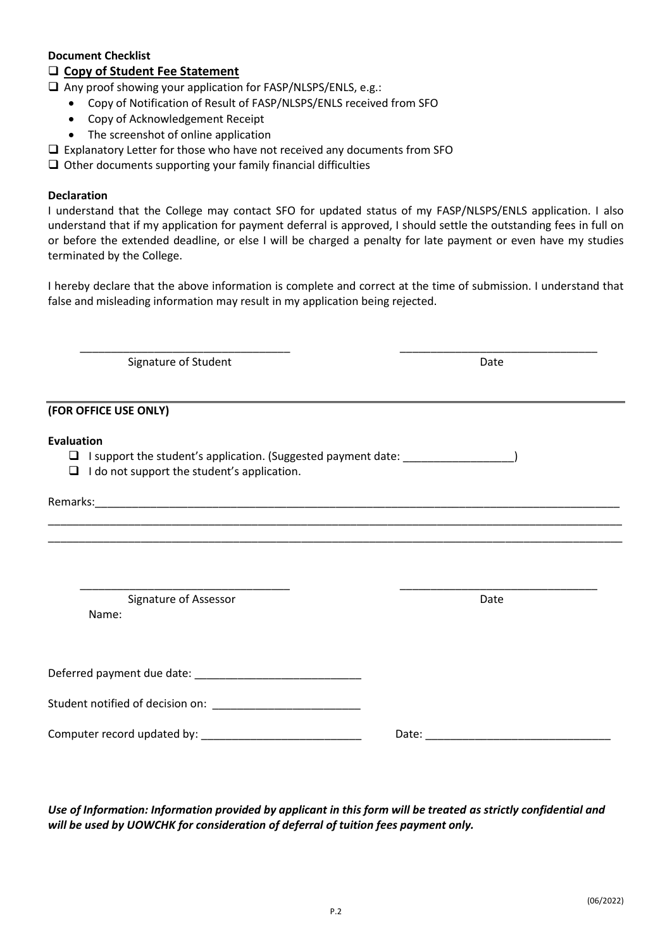### **Document Checklist**

### **Copy of Student Fee Statement**

 $\Box$  Any proof showing your application for FASP/NLSPS/ENLS, e.g.:

- Copy of Notification of Result of FASP/NLSPS/ENLS received from SFO
- Copy of Acknowledgement Receipt
- The screenshot of online application
- $\square$  Explanatory Letter for those who have not received any documents from SFO
- $\Box$  Other documents supporting your family financial difficulties

#### **Declaration**

I understand that the College may contact SFO for updated status of my FASP/NLSPS/ENLS application. I also understand that if my application for payment deferral is approved, I should settle the outstanding fees in full on or before the extended deadline, or else I will be charged a penalty for late payment or even have my studies terminated by the College.

I hereby declare that the above information is complete and correct at the time of submission. I understand that false and misleading information may result in my application being rejected.

\_\_\_\_\_\_\_\_\_\_\_\_\_\_\_\_\_\_\_\_\_\_\_\_\_\_\_\_\_\_\_\_\_\_ \_\_\_\_\_\_\_\_\_\_\_\_\_\_\_\_\_\_\_\_\_\_\_\_\_\_\_\_\_\_\_\_

Signature of Student **Date** 

**(FOR OFFICE USE ONLY) Evaluation** I support the student's application. (Suggested payment date: \_\_\_\_\_\_\_\_\_\_\_\_\_\_\_\_\_\_)  $\Box$  I do not support the student's application. Remarks: where  $\overline{\phantom{a}}$ \_\_\_\_\_\_\_\_\_\_\_\_\_\_\_\_\_\_\_\_\_\_\_\_\_\_\_\_\_\_\_\_\_\_\_\_\_\_\_\_\_\_\_\_\_\_\_\_\_\_\_\_\_\_\_\_\_\_\_\_\_\_\_\_\_\_\_\_\_\_\_\_\_\_\_\_\_\_\_\_\_\_\_\_\_\_\_\_\_\_\_\_\_ \_\_\_\_\_\_\_\_\_\_\_\_\_\_\_\_\_\_\_\_\_\_\_\_\_\_\_\_\_\_\_\_\_\_\_\_\_\_\_\_\_\_\_\_\_\_\_\_\_\_\_\_\_\_\_\_\_\_\_\_\_\_\_\_\_\_\_\_\_\_\_\_\_\_\_\_\_\_\_\_\_\_\_\_\_\_\_\_\_\_\_\_\_ \_\_\_\_\_\_\_\_\_\_\_\_\_\_\_\_\_\_\_\_\_\_\_\_\_\_\_\_\_\_\_\_\_\_ \_\_\_\_\_\_\_\_\_\_\_\_\_\_\_\_\_\_\_\_\_\_\_\_\_\_\_\_\_\_\_\_

Signature of Assessor **Date** Name:

Deferred payment due date: \_\_\_\_\_\_\_\_\_\_\_\_\_\_\_\_\_\_\_\_\_\_\_\_\_\_\_

Student notified of decision on: \_\_\_\_\_\_\_\_\_\_\_\_\_\_\_\_\_\_\_\_\_\_\_\_

Computer record updated by: example of the state of the Date:  $\Box$  Date:

*Use of Information: Information provided by applicant in this form will be treated as strictly confidential and will be used by UOWCHK for consideration of deferral of tuition fees payment only.*